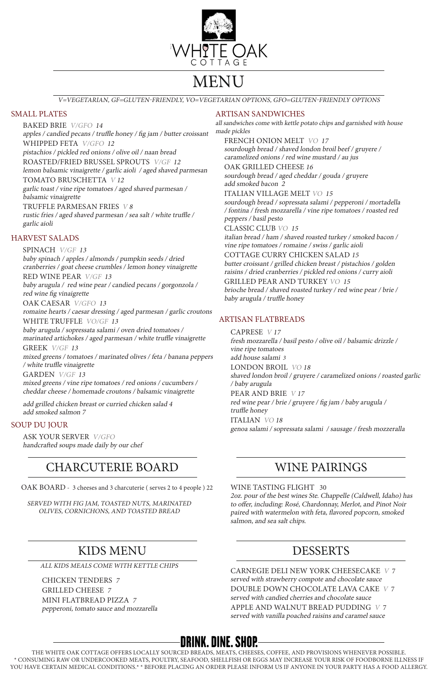THE WHITE OAK COTTAGE OFFERS LOCALLY SOURCED BREADS, MEATS, CHEESES, COFFEE, AND PROVISIONS WHENEVER POSSIBLE. \* CONSUMING RAW OR UNDERCOOKED MEATS, POULTRY, SEAFOOD, SHELLFISH OR EGGS MAY INCREASE YOUR RISK OF FOODBORNE ILLNESS IF YOU HAVE CERTAIN MEDICAL CONDITIONS.\* \* BEFORE PLACING AN ORDER PLEASE INFORM US IF ANYONE IN YOUR PARTY HAS A FOOD ALLERGY.

## SMALL PLATES

FRENCH ONION MELT VO 17 sourdough bread / shaved london broil beef / gruyere / caramelized onions / red wine mustard / au jus

BAKED BRIE V/GFO 14 apples / candied pecans / truffle honey / fig jam / butter croissant WHIPPED FETA V/GFO 12 pistachios / pickled red onions / olive oil / naan bread ROASTED/FRIED BRUSSEL SPROUTS V/GF 12 lemon balsamic vinaigrette / garlic aioli / aged shaved parmesan TOMATO BRUSCHETTA V 12 garlic toast / vine ripe tomatoes / aged shaved parmesan / balsamic vinaigrette

OAK GRILLED CHEESE 16 sourdough bread / aged cheddar / gouda / gruyere add smoked bacon 2

TRUFFLE PARMESAN FRIES V 8 rustic fries / aged shaved parmesan / sea salt / white truffle / garlic aioli

## ARTISAN SANDWICHES

all sandwiches come with kettle potato chips and garnished with house made pickles

### ITALIAN VILLAGE MELT VO 15

sourdough bread / sopressata salami / pepperoni / mortadella / fontina / fresh mozzarella / vine ripe tomatoes / roasted red peppers / basil pesto

CLASSIC CLUB VO 15

italian bread / ham / shaved roasted turkey / smoked bacon / vine ripe tomatoes / romaine / swiss / garlic aioli

COTTAGE CURRY CHICKEN SALAD<sup>15</sup> butter croissant / grilled chicken breast / pistachios / golden raisins / dried cranberries / pickled red onions / curry aioli

GRILLED PEAR AND TURKEY VO 15 brioche bread / shaved roasted turkey / red wine pear / brie / baby arugula / truffle honey

## HARVEST SALADS

SPINACH V/GF <sup>13</sup> baby spinach / apples / almonds / pumpkin seeds / dried cranberries / goat cheese crumbles / lemon honey vinaigrette

RED WINE PEAR V/GF 13

baby arugula / red wine pear / candied pecans / gorgonzola / red wine fig vinaigrette

OAK CAESAR V/GFO <sup>13</sup>

romaine hearts / caesar dressing / aged parmesan / garlic croutons WHITE TRUFFLE VO/GF 13

baby arugula / sopressata salami / oven dried tomatoes / marinated artichokes / aged parmesan / white truffle vinaigrette

GREEK V/GF 13 mixed greens / tomatoes / marinated olives / feta / banana peppers / white truffle vinaigrette

GARDEN V/GF 13 mixed greens / vine ripe tomatoes / red onions / cucumbers / cheddar cheese / homemade croutons / balsamic vinaigrette

add grilled chicken breast or curried chicken salad 4 add smoked salmon 7

## SOUP DU JOUR

ASK YOUR SERVER V/GFO handcrafted soups made daily by our chef

## ARTISAN FLATBREADS

CAPRESE <sup>V</sup> <sup>17</sup> fresh mozzarella / basil pesto / olive oil / balsamic drizzle / vine ripe tomatoes add house salami 3 LONDON BROIL VO <sup>18</sup> shaved london broil / gruyere / caramelized onions / roasted garlic / baby arugula PEAR AND BRIE <sup>V</sup> <sup>17</sup> red wine pear / brie / gruyere / fig jam / baby arugula / truffle honey ITALIAN VO <sup>18</sup> genoa salami / sopressata salami / sausage / fresh mozzeralla

V=VEGETARIAN, GF=GLUTEN-FRIENDLY, VO=VEGETARIAN OPTIONS, GFO=GLUTEN-FRIENDLY OPTIONS



# MENU

## KIDS MENU

## CHARCUTERIE BOARD

## DESSERTS

## WINE PAIRINGS

CHICKEN TENDERS <sup>7</sup> GRILLED CHEESE <sup>7</sup> MINI FLATBREAD PIZZA <sup>7</sup> pepperoni, tomato sauce and mozzarella

OAK BOARD - 3 cheeses and 3 charcuterie ( serves 2 to 4 people ) 22

CARNEGIE DELI NEW YORK CHEESECAKE V 7 served with strawberry compote and chocolate sauce DOUBLE DOWN CHOCOLATE LAVA CAKE V 7 served with candied cherries and chocolate sauce APPLE AND WALNUT BREAD PUDDING V 7 served with vanilla poached raisins and caramel sauce

## **DRINK. DINE. SHOP.**

WINE TASTING FLIGHT 30 2oz. pour of the best wines Ste. Chappelle (Caldwell, Idaho) has

to offer, including: Rosé, Chardonnay, Merlot, and Pinot Noir paired with watermelon with feta, flavored popcorn, smoked salmon, and sea salt chips.

ALL KIDS MEALS COME WITH KETTLE CHIPS

#### SERVED WITH FIG JAM, TOASTED NUTS, MARINATED OLIVES, CORNICHONS, AND TOASTED BREAD